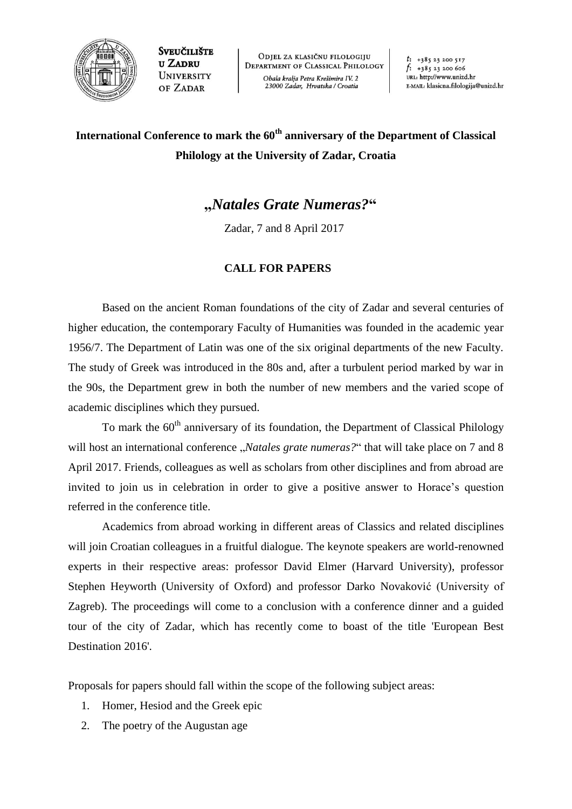

**SVEUČILIŠTE U ZADRU** UNIVERSITY OF ZADAR

ODJEL ZA KLASIČNU FILOLOGIJU **DEPARTMENT OF CLASSICAL PHILOLOGY** Obala kralja Petra Krešimira IV. 2 23000 Zadar, Hrvatska / Croatia

 $t: +38523200517$  $f: +38523200606$ URL: http://www.unizd.hr E-MAIL: klasicna.filologija@unizd.hr

## **International Conference to mark the 60th anniversary of the Department of Classical Philology at the University of Zadar, Croatia**

## **"***Natales Grate Numeras?***"**

Zadar, 7 and 8 April 2017

## **CALL FOR PAPERS**

Based on the ancient Roman foundations of the city of Zadar and several centuries of higher education, the contemporary Faculty of Humanities was founded in the academic year 1956/7. The Department of Latin was one of the six original departments of the new Faculty. The study of Greek was introduced in the 80s and, after a turbulent period marked by war in the 90s, the Department grew in both the number of new members and the varied scope of academic disciplines which they pursued.

To mark the 60<sup>th</sup> anniversary of its foundation, the Department of Classical Philology will host an international conference *"Natales grate numeras?*" that will take place on 7 and 8 April 2017. Friends, colleagues as well as scholars from other disciplines and from abroad are invited to join us in celebration in order to give a positive answer to Horace's question referred in the conference title.

Academics from abroad working in different areas of Classics and related disciplines will join Croatian colleagues in a fruitful dialogue. The keynote speakers are world-renowned experts in their respective areas: professor David Elmer (Harvard University), professor Stephen Heyworth (University of Oxford) and professor Darko Novaković (University of Zagreb). The proceedings will come to a conclusion with a conference dinner and a guided tour of the city of Zadar, which has recently come to boast of the title 'European Best Destination 2016'.

Proposals for papers should fall within the scope of the following subject areas:

- 1. Homer, Hesiod and the Greek epic
- 2. The poetry of the Augustan age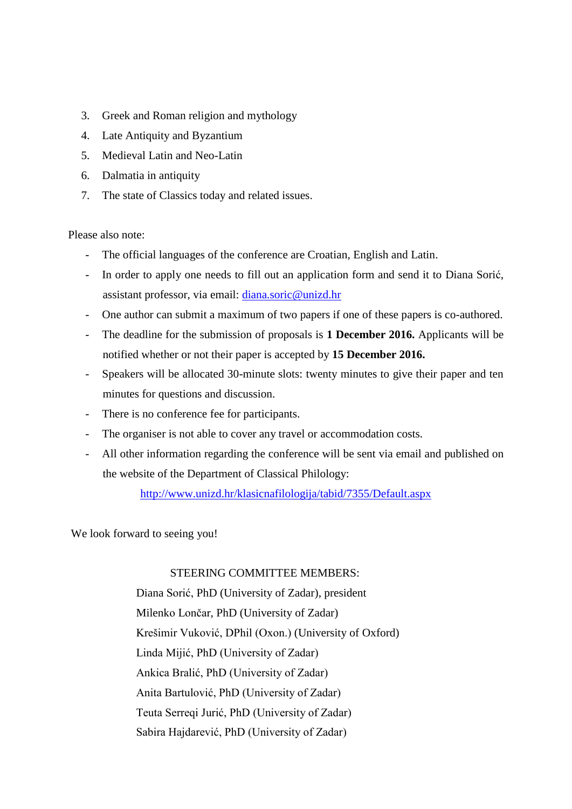- 3. Greek and Roman religion and mythology
- 4. Late Antiquity and Byzantium
- 5. Medieval Latin and Neo-Latin
- 6. Dalmatia in antiquity
- 7. The state of Classics today and related issues.

Please also note:

- The official languages of the conference are Croatian, English and Latin.
- In order to apply one needs to fill out an application form and send it to Diana Sorić, assistant professor, via email: [diana.soric@unizd.hr](mailto:diana.soric@unizd.hr)
- One author can submit a maximum of two papers if one of these papers is co-authored.
- The deadline for the submission of proposals is **1 December 2016.** Applicants will be notified whether or not their paper is accepted by **15 December 2016.**
- Speakers will be allocated 30-minute slots: twenty minutes to give their paper and ten minutes for questions and discussion.
- There is no conference fee for participants.
- The organiser is not able to cover any travel or accommodation costs.
- All other information regarding the conference will be sent via email and published on the website of the Department of Classical Philology:

<http://www.unizd.hr/klasicnafilologija/tabid/7355/Default.aspx>

We look forward to seeing you!

## STEERING COMMITTEE MEMBERS:

Diana Sorić, PhD (University of Zadar), president Milenko Lončar, PhD (University of Zadar) Krešimir Vuković, DPhil (Oxon.) (University of Oxford) Linda Mijić, PhD (University of Zadar) Ankica Bralić, PhD (University of Zadar) Anita Bartulović, PhD (University of Zadar) Teuta Serreqi Jurić, PhD (University of Zadar) Sabira Hajdarević, PhD (University of Zadar)